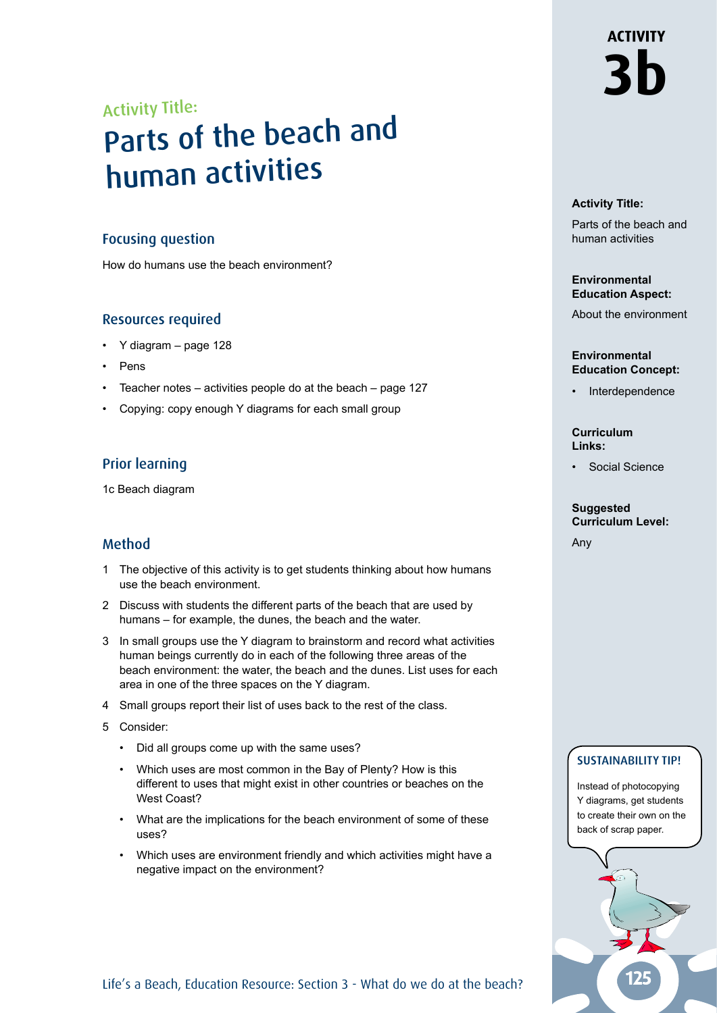# **ACTIVITY 3b**

## Activity Title:

## Parts of the beach and human activities

### Focusing question

How do humans use the beach environment?

## Resources required

- Y diagram page 128
- Pens
- Teacher notes  $-$  activities people do at the beach  $-$  page 127
- Copying: copy enough Y diagrams for each small group

## Prior learning

1c Beach diagram

## Method

- 1 The objective of this activity is to get students thinking about how humans use the beach environment.
- 2 Discuss with students the different parts of the beach that are used by humans – for example, the dunes, the beach and the water.
- 3 In small groups use the Y diagram to brainstorm and record what activities human beings currently do in each of the following three areas of the beach environment: the water, the beach and the dunes. List uses for each area in one of the three spaces on the Y diagram.
- 4 Small groups report their list of uses back to the rest of the class.
- 5 Consider:
	- Did all groups come up with the same uses?
	- Which uses are most common in the Bay of Plenty? How is this different to uses that might exist in other countries or beaches on the West Coast?
	- What are the implications for the beach environment of some of these uses?
	- Which uses are environment friendly and which activities might have a negative impact on the environment?

#### **Activity Title:**

Parts of the beach and human activities

#### **Environmental Education Aspect:**

About the environment

#### **Environmental Education Concept:**

**Interdependence** 

#### **Curriculum Links:**

• Social Science

#### **Suggested Curriculum Level:**

Any

### SUSTAINABILITY TIP!

Instead of photocopying Y diagrams, get students to create their own on the back of scrap paper.

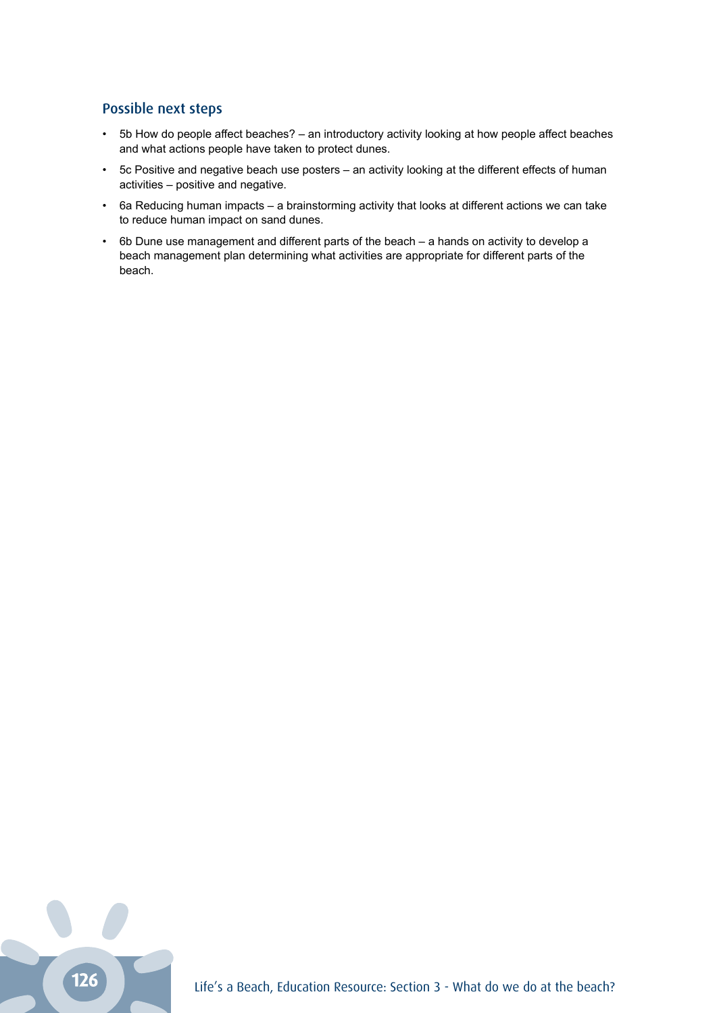### Possible next steps

- 5b How do people affect beaches? an introductory activity looking at how people affect beaches and what actions people have taken to protect dunes.
- 5c Positive and negative beach use posters an activity looking at the different effects of human activities – positive and negative.
- 6a Reducing human impacts a brainstorming activity that looks at different actions we can take to reduce human impact on sand dunes.
- 6b Dune use management and different parts of the beach a hands on activity to develop a beach management plan determining what activities are appropriate for different parts of the beach.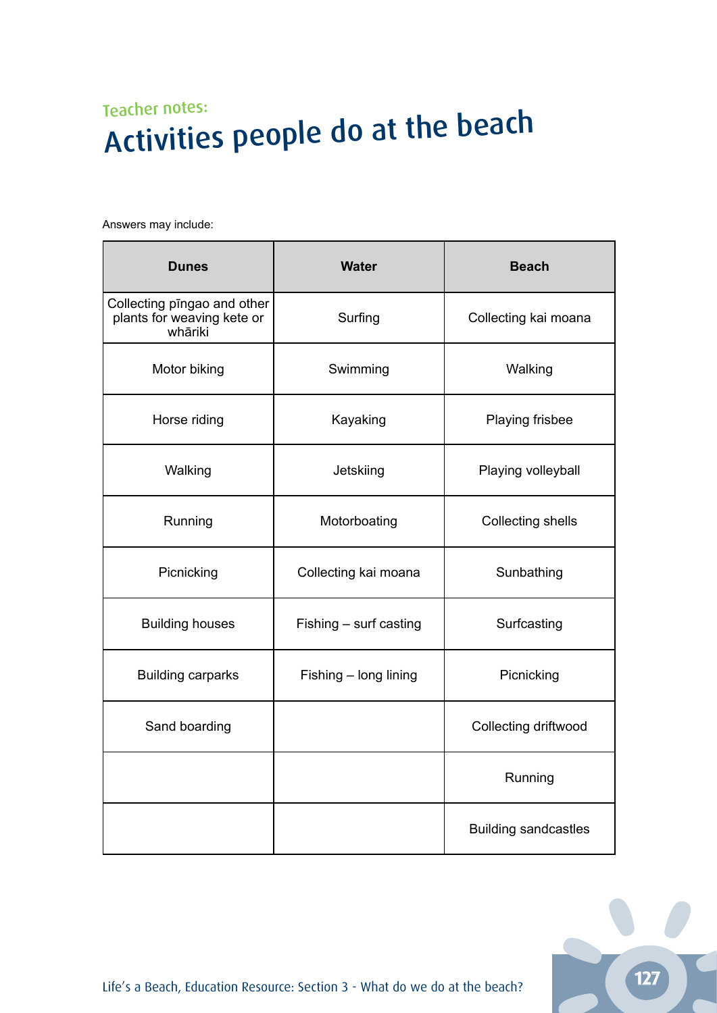## Teacher notes: Activities people do at the beach

Answers may include:

| <b>Dunes</b>                                                         | <b>Water</b>           | <b>Beach</b>                |
|----------------------------------------------------------------------|------------------------|-----------------------------|
| Collecting pingao and other<br>plants for weaving kete or<br>whāriki | Surfing                | Collecting kai moana        |
| Motor biking                                                         | Swimming               | Walking                     |
| Horse riding                                                         | Kayaking               | Playing frisbee             |
| Walking                                                              | Jetskiing              | Playing volleyball          |
| Running                                                              | Motorboating           | Collecting shells           |
| Picnicking                                                           | Collecting kai moana   | Sunbathing                  |
| <b>Building houses</b>                                               | Fishing - surf casting | Surfcasting                 |
| <b>Building carparks</b>                                             | Fishing - long lining  | Picnicking                  |
| Sand boarding                                                        |                        | Collecting driftwood        |
|                                                                      |                        | Running                     |
|                                                                      |                        | <b>Building sandcastles</b> |